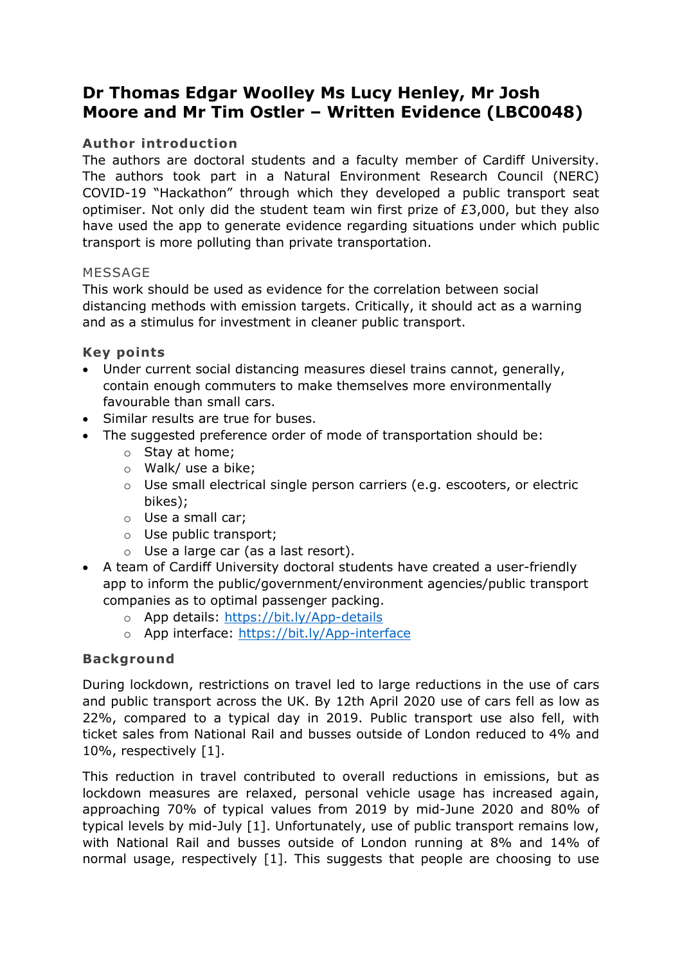# **Dr Thomas Edgar Woolley Ms Lucy Henley, Mr Josh Moore and Mr Tim Ostler – Written Evidence (LBC0048)**

## **Author introduction**

The authors are doctoral students and a faculty member of Cardiff University. The authors took part in a Natural Environment Research Council (NERC) COVID-19 "Hackathon" through which they developed a public transport seat optimiser. Not only did the student team win first prize of  $£3,000$ , but they also have used the app to generate evidence regarding situations under which public transport is more polluting than private transportation.

## MESSAGE

This work should be used as evidence for the correlation between social distancing methods with emission targets. Critically, it should act as a warning and as a stimulus for investment in cleaner public transport.

## **Key points**

- Under current social distancing measures diesel trains cannot, generally, contain enough commuters to make themselves more environmentally favourable than small cars.
- Similar results are true for buses.
- The suggested preference order of mode of transportation should be:
	- o Stay at home;
	- o Walk/ use a bike;
	- o Use small electrical single person carriers (e.g. escooters, or electric bikes);
	- o Use a small car;
	- o Use public transport;
	- o Use a large car (as a last resort).
- A team of Cardiff University doctoral students have created a user-friendly app to inform the public/government/environment agencies/public transport companies as to optimal passenger packing.
	- o App details: <https://bit.ly/App-details>
	- o App interface: <https://bit.ly/App-interface>

# **Background**

During lockdown, restrictions on travel led to large reductions in the use of cars and public transport across the UK. By 12th April 2020 use of cars fell as low as 22%, compared to a typical day in 2019. Public transport use also fell, with ticket sales from National Rail and busses outside of London reduced to 4% and 10%, respectively [1].

This reduction in travel contributed to overall reductions in emissions, but as lockdown measures are relaxed, personal vehicle usage has increased again, approaching 70% of typical values from 2019 by mid-June 2020 and 80% of typical levels by mid-July [1]. Unfortunately, use of public transport remains low, with National Rail and busses outside of London running at 8% and 14% of normal usage, respectively [1]. This suggests that people are choosing to use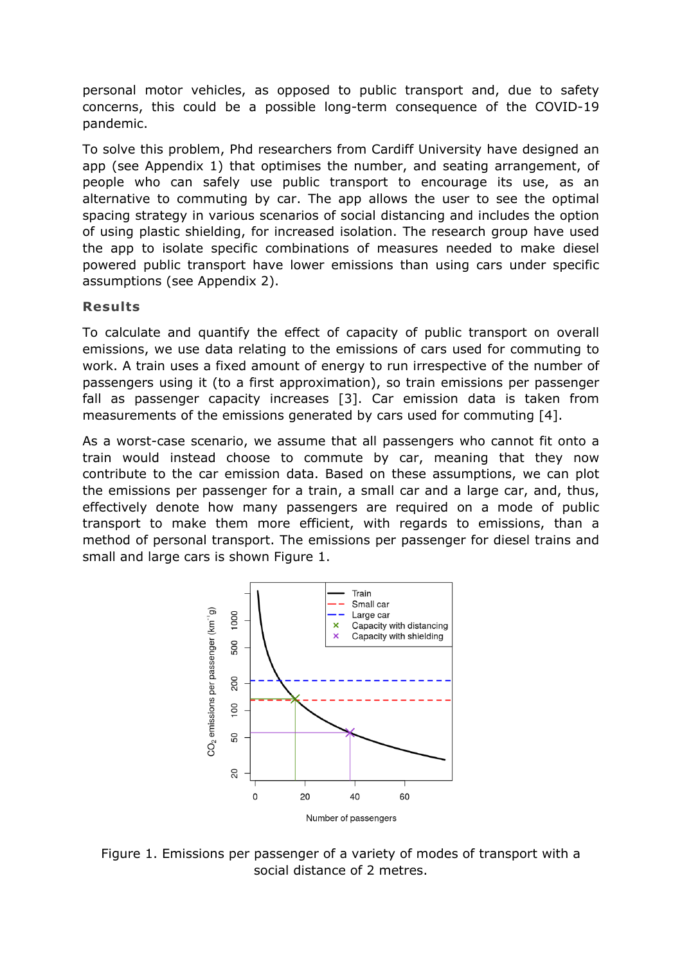personal motor vehicles, as opposed to public transport and, due to safety concerns, this could be a possible long-term consequence of the COVID-19 pandemic.

To solve this problem, Phd researchers from Cardiff University have designed an app (see Appendix 1) that optimises the number, and seating arrangement, of people who can safely use public transport to encourage its use, as an alternative to commuting by car. The app allows the user to see the optimal spacing strategy in various scenarios of social distancing and includes the option of using plastic shielding, for increased isolation. The research group have used the app to isolate specific combinations of measures needed to make diesel powered public transport have lower emissions than using cars under specific assumptions (see Appendix 2).

### **Results**

To calculate and quantify the effect of capacity of public transport on overall emissions, we use data relating to the emissions of cars used for commuting to work. A train uses a fixed amount of energy to run irrespective of the number of passengers using it (to a first approximation), so train emissions per passenger fall as passenger capacity increases [3]. Car emission data is taken from measurements of the emissions generated by cars used for commuting [4].

As a worst-case scenario, we assume that all passengers who cannot fit onto a train would instead choose to commute by car, meaning that they now contribute to the car emission data. Based on these assumptions, we can plot the emissions per passenger for a train, a small car and a large car, and, thus, effectively denote how many passengers are required on a mode of public transport to make them more efficient, with regards to emissions, than a method of personal transport. The emissions per passenger for diesel trains and small and large cars is shown Figure 1.



Figure 1. Emissions per passenger of a variety of modes of transport with a social distance of 2 metres.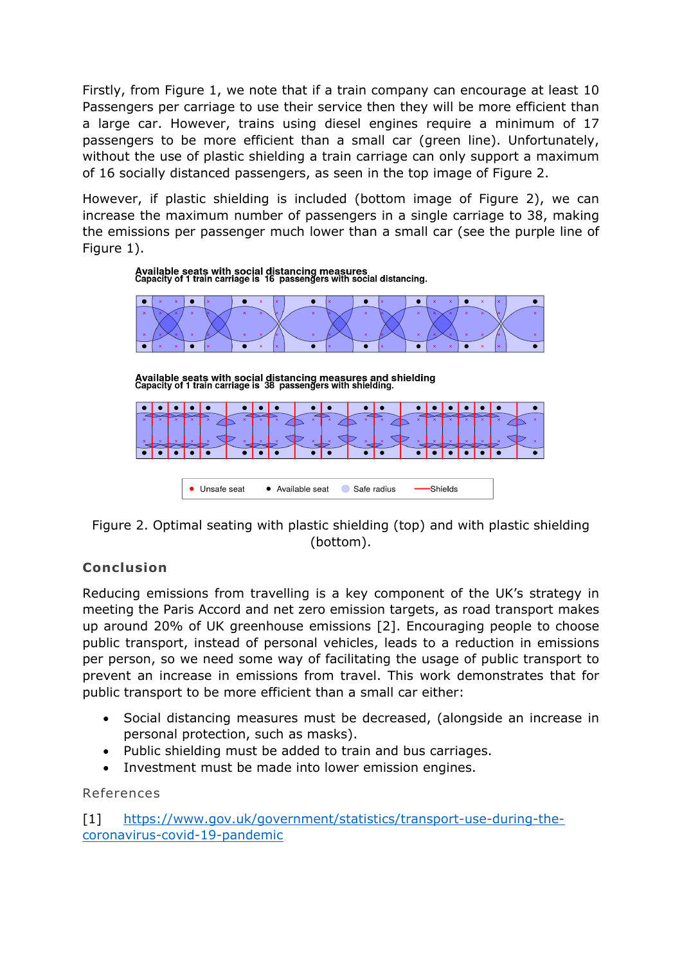Firstly, from Figure 1, we note that if a train company can encourage at least 10 Passengers per carriage to use their service then they will be more efficient than a large car. However, trains using diesel engines require a minimum of 17 passengers to be more efficient than a small car (green line). Unfortunately, without the use of plastic shielding a train carriage can only support a maximum of 16 socially distanced passengers, as seen in the top image of Figure 2.

However, if plastic shielding is included (bottom image of Figure 2), we can increase the maximum number of passengers in a single carriage to 38, making the emissions per passenger much lower than a small car (see the purple line of Figure 1).



Available seats with social distancing measures and shielding<br>Capacity of 1 train carriage is 38 passengers with shielding.



Figure 2. Optimal seating with plastic shielding (top) and with plastic shielding (bottom).

# **Conclusion**

Reducing emissions from travelling is a key component of the UK's strategy in meeting the Paris Accord and net zero emission targets, as road transport makes up around 20% of UK greenhouse emissions [2]. Encouraging people to choose public transport, instead of personal vehicles, leads to a reduction in emissions per person, so we need some way of facilitating the usage of public transport to prevent an increase in emissions from travel. This work demonstrates that for public transport to be more efficient than a small car either:

- Social distancing measures must be decreased, (alongside an increase in personal protection, such as masks).
- Public shielding must be added to train and bus carriages.
- Investment must be made into lower emission engines.

References

[1] [https://www.gov.uk/government/statistics/transport-use-during-the](https://www.gov.uk/government/statistics/transport-use-during-the-coronavirus-covid-19-pandemic)[coronavirus-covid-19-pandemic](https://www.gov.uk/government/statistics/transport-use-during-the-coronavirus-covid-19-pandemic)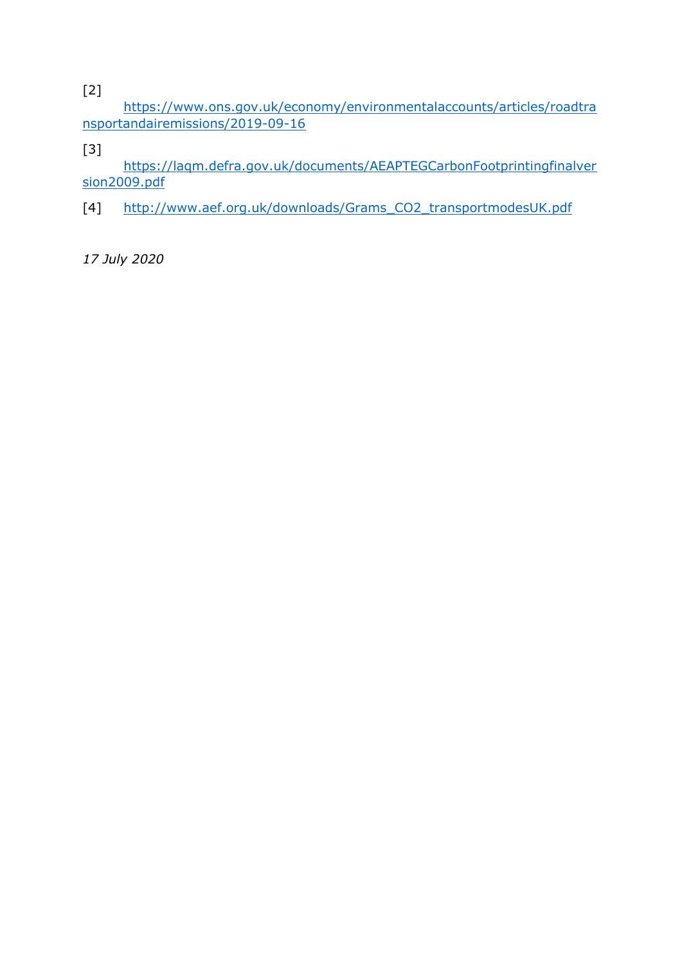[2]

[https://www.ons.gov.uk/economy/environmentalaccounts/articles/roadtra](https://www.ons.gov.uk/economy/environmentalaccounts/articles/roadtransportandairemissions/2019-09-16) [nsportandairemissions/2019-09-16](https://www.ons.gov.uk/economy/environmentalaccounts/articles/roadtransportandairemissions/2019-09-16)

[3]

[https://laqm.defra.gov.uk/documents/AEAPTEGCarbonFootprintingfinalver](https://laqm.defra.gov.uk/documents/AEAPTEGCarbonFootprintingfinalversion2009.pdf) [sion2009.pdf](https://laqm.defra.gov.uk/documents/AEAPTEGCarbonFootprintingfinalversion2009.pdf)

[4] [http://www.aef.org.uk/downloads/Grams\\_CO2\\_transportmodesUK.pdf](http://www.aef.org.uk/downloads/Grams_CO2_transportmodesUK.pdf)

*17 July 2020*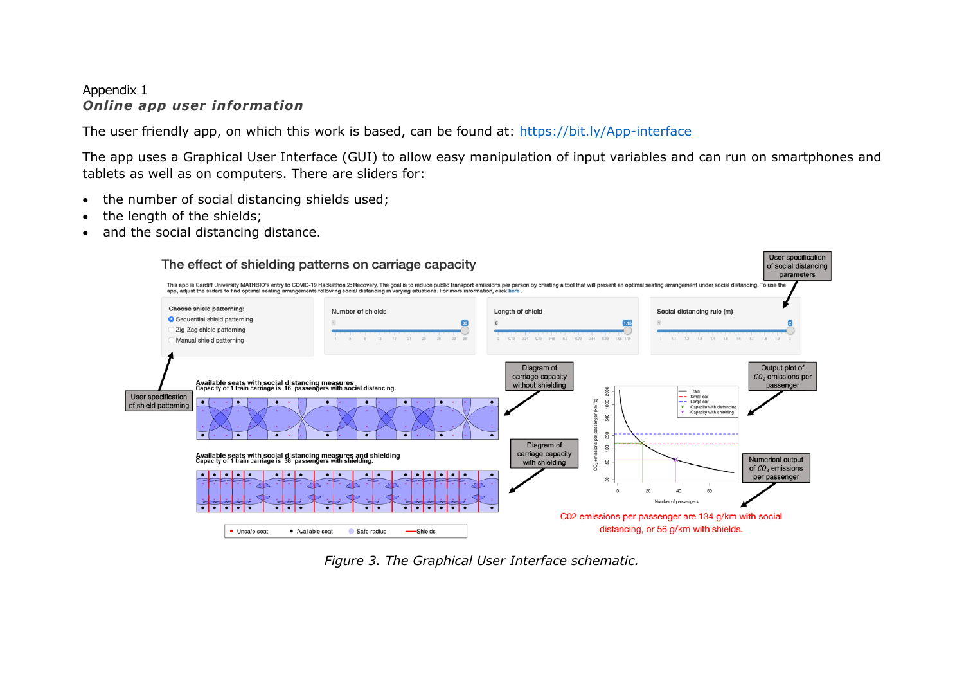### Appendix 1 *Online app user information*

The user friendly app, on which this work is based, can be found at: <https://bit.ly/App-interface>

The app uses a Graphical User Interface (GUI) to allow easy manipulation of input variables and can run on smartphones and tablets as well as on computers. There are sliders for:

- the number of social distancing shields used;
- the length of the shields;
- and the social distancing distance.



*Figure 3. The Graphical User Interface schematic.*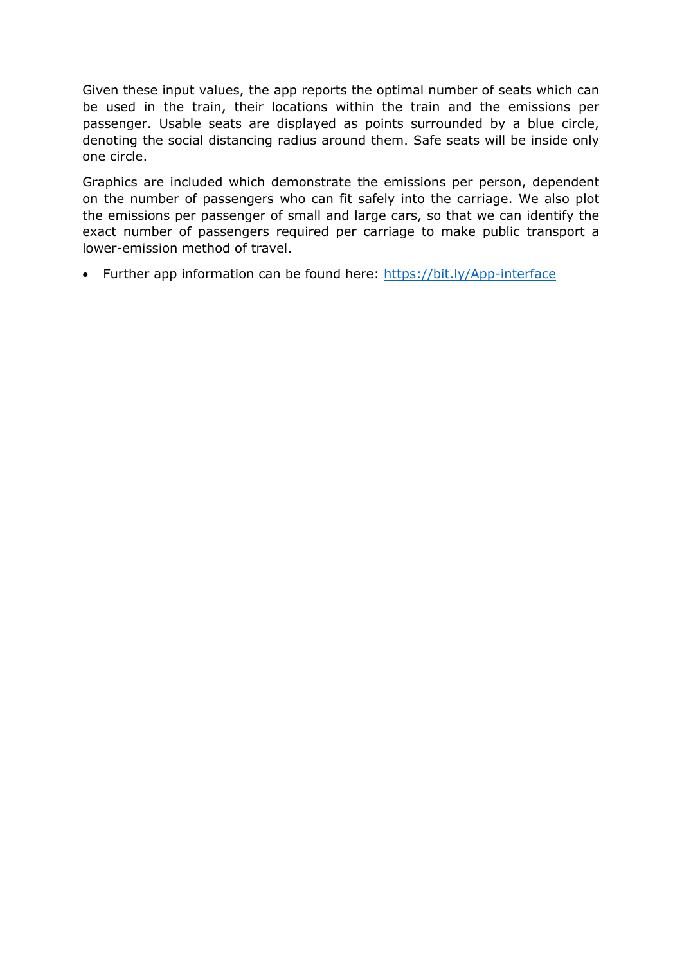Given these input values, the app reports the optimal number of seats which can be used in the train, their locations within the train and the emissions per passenger. Usable seats are displayed as points surrounded by a blue circle, denoting the social distancing radius around them. Safe seats will be inside only one circle.

Graphics are included which demonstrate the emissions per person, dependent on the number of passengers who can fit safely into the carriage. We also plot the emissions per passenger of small and large cars, so that we can identify the exact number of passengers required per carriage to make public transport a lower-emission method of travel.

• Further app information can be found here: <https://bit.ly/App-interface>